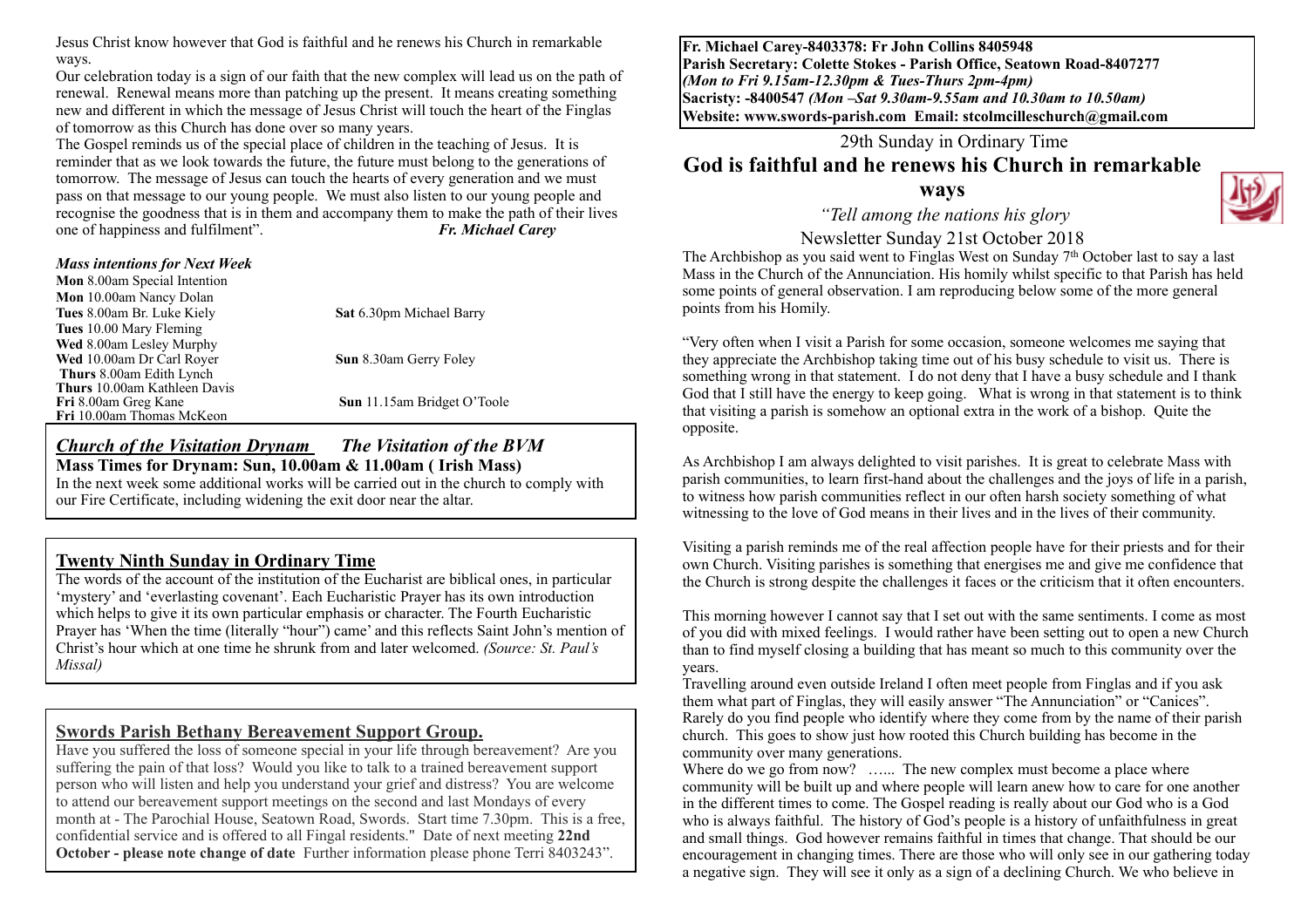Jesus Christ know however that God is faithful and he renews his Church in remarkable ways.

Our celebration today is a sign of our faith that the new complex will lead us on the path of renewal. Renewal means more than patching up the present. It means creating something new and different in which the message of Jesus Christ will touch the heart of the Finglas of tomorrow as this Church has done over so many years.

The Gospel reminds us of the special place of children in the teaching of Jesus. It is reminder that as we look towards the future, the future must belong to the generations of tomorrow. The message of Jesus can touch the hearts of every generation and we must pass on that message to our young people. We must also listen to our young people and recognise the goodness that is in them and accompany them to make the path of their lives one of happiness and fulfilment". *Fr. Michael Carey*

#### *Mass intentions for Next Week*

| Mon 8.00am Special Intention        |                                 |
|-------------------------------------|---------------------------------|
| <b>Mon</b> 10.00am Nancy Dolan      |                                 |
| Tues 8.00am Br. Luke Kiely          | <b>Sat 6.30pm Michael Barry</b> |
| Tues 10.00 Mary Fleming             |                                 |
| <b>Wed 8.00am Lesley Murphy</b>     |                                 |
| Wed 10.00am Dr Carl Royer           | <b>Sun</b> 8.30am Gerry Foley   |
| <b>Thurs</b> 8.00am Edith Lynch     |                                 |
| <b>Thurs</b> 10.00am Kathleen Davis |                                 |
| Fri 8.00am Greg Kane                | Sun 11.15am Bridget O'Toole     |
| Fri 10.00am Thomas McKeon           |                                 |

#### *Church of the Visitation Drynam**The Visitation of the BVM* **Mass Times for Drynam: Sun, 10.00am & 11.00am ( Irish Mass)**

In the next week some additional works will be carried out in the church to comply with our Fire Certificate, including widening the exit door near the altar.

# **Twenty Ninth Sunday in Ordinary Time**

The words of the account of the institution of the Eucharist are biblical ones, in particular 'mystery' and 'everlasting covenant'. Each Eucharistic Prayer has its own introduction which helps to give it its own particular emphasis or character. The Fourth Eucharistic Prayer has 'When the time (literally "hour") came' and this reflects Saint John's mention of Christ's hour which at one time he shrunk from and later welcomed. *(Source: St. Paul's Missal)*

# **Swords Parish Bethany Bereavement Support Group.**

Have you suffered the loss of someone special in your life through bereavement? Are you suffering the pain of that loss? Would you like to talk to a trained bereavement support person who will listen and help you understand your grief and distress? You are welcome to attend our bereavement support meetings on the second and last Mondays of every month at - The Parochial House, Seatown Road, Swords. Start time 7.30pm. This is a free, confidential service and is offered to all Fingal residents." Date of next meeting **22nd October - please note change of date** Further information please phone Terri 8403243".

**Fr. Michael Carey-8403378: Fr John Collins 8405948 Parish Secretary: Colette Stokes - Parish Office, Seatown Road-8407277**  *(Mon to Fri 9.15am-12.30pm & Tues-Thurs 2pm-4pm)*  **Sacristy: -8400547** *(Mon –Sat 9.30am-9.55am and 10.30am to 10.50am)* **Website: [www.swords-parish.com Email:](http://www.swords-parish.com%20%20email) stcolmcilleschurch@gmail.com**

29th Sunday in Ordinary Time

# **God is faithful and he renews his Church in remarkable**

**ways** 

 *"Tell among the nations his glory* 

Newsletter Sunday 21st October 2018

The Archbishop as you said went to Finglas West on Sunday  $7<sup>th</sup>$  October last to say a last Mass in the Church of the Annunciation. His homily whilst specific to that Parish has held some points of general observation. I am reproducing below some of the more general points from his Homily.

"Very often when I visit a Parish for some occasion, someone welcomes me saying that they appreciate the Archbishop taking time out of his busy schedule to visit us. There is something wrong in that statement. I do not deny that I have a busy schedule and I thank God that I still have the energy to keep going. What is wrong in that statement is to think that visiting a parish is somehow an optional extra in the work of a bishop. Quite the opposite.

As Archbishop I am always delighted to visit parishes. It is great to celebrate Mass with parish communities, to learn first-hand about the challenges and the joys of life in a parish, to witness how parish communities reflect in our often harsh society something of what witnessing to the love of God means in their lives and in the lives of their community.

Visiting a parish reminds me of the real affection people have for their priests and for their own Church. Visiting parishes is something that energises me and give me confidence that the Church is strong despite the challenges it faces or the criticism that it often encounters.

This morning however I cannot say that I set out with the same sentiments. I come as most of you did with mixed feelings. I would rather have been setting out to open a new Church than to find myself closing a building that has meant so much to this community over the years.

Travelling around even outside Ireland I often meet people from Finglas and if you ask them what part of Finglas, they will easily answer "The Annunciation" or "Canices". Rarely do you find people who identify where they come from by the name of their parish church. This goes to show just how rooted this Church building has become in the community over many generations.

Where do we go from now? ...... The new complex must become a place where community will be built up and where people will learn anew how to care for one another in the different times to come. The Gospel reading is really about our God who is a God who is always faithful. The history of God's people is a history of unfaithfulness in great and small things. God however remains faithful in times that change. That should be our encouragement in changing times. There are those who will only see in our gathering today a negative sign. They will see it only as a sign of a declining Church. We who believe in